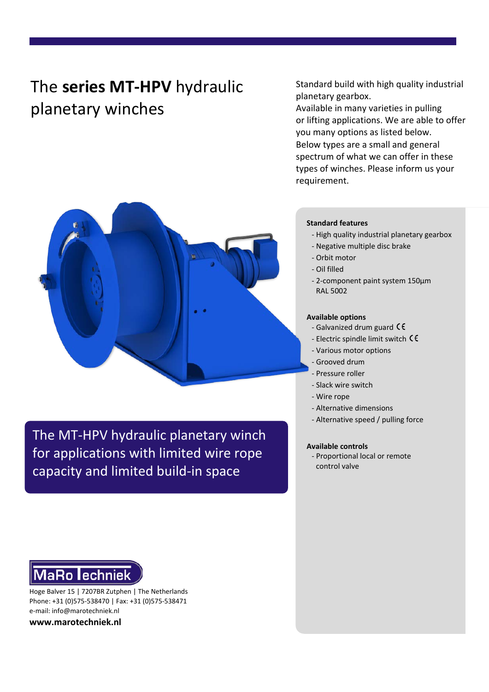# The **series MT-HPV** hydraulic planetary winches

Standard build with high quality industrial planetary gearbox.

Available in many varieties in pulling or lifting applications. We are able to offer you many options as listed below. Below types are a small and general spectrum of what we can offer in these types of winches. Please inform us your requirement.

The MT-HPV hydraulic planetary winch for applications with limited wire rope capacity and limited build-in space

#### **Standard features**

- High quality industrial planetary gearbox
- Negative multiple disc brake
- Orbit motor
- Oil filled
- 2-component paint system 150μm RAL 5002

#### **Available options**

- Galvanized drum guard CE
- Electric spindle limit switch
- Various motor options
- Grooved drum
- Pressure roller
- Slack wire switch
- Wire rope
- Alternative dimensions
- Alternative speed / pulling force

#### **Available controls**

- Proportional local or remote control valve



Hoge Balver 15 | 7207BR Zutphen | The Netherlands Phone: +31 (0)575-538470 | Fax: +31 (0)575-538471 e-mail: info@marotechniek.nl

**www.marotechniek.nl**